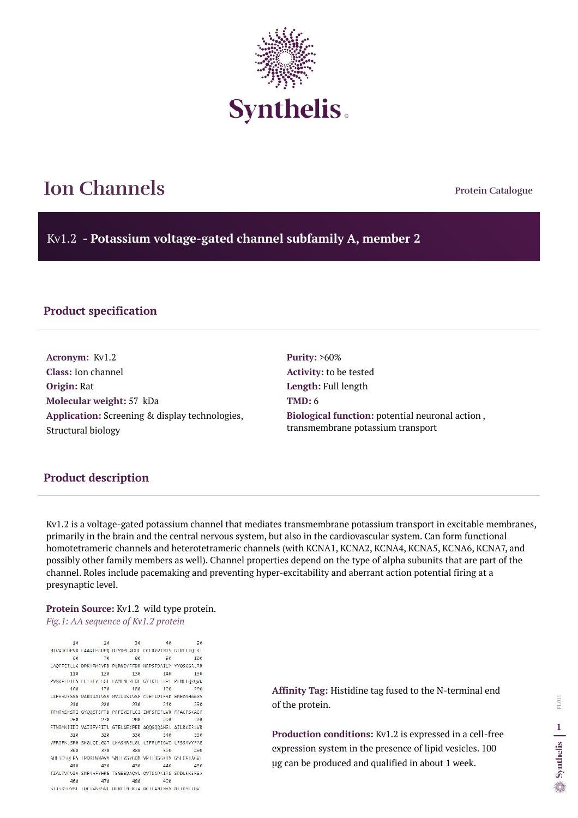**Protein Catalogue**

Kv1.2 **- Potassium voltage-gated channel subfamily A, member 2**



# **Ion Channels**

### **Product specification**

**Acronym:** Kv1.2 **Class:** Ion channel **Origin:** Rat **Molecular weight:** 57 kDa **Application:** Screening & display technologies, Structural biology

**Purity:** >60% **Activity:** to be tested **Length:** Full length **TMD:** 6 **Biological function:** potential neuronal action , transmembrane potassium transport

### **Product description**

Kv1.2 is a voltage-gated potassium channel that mediates transmembrane potassium transport in excitable membranes, primarily in the brain and the central nervous system, but also in the cardiovascular system. Can form functional homotetrameric channels and heterotetrameric channels (with KCNA1, KCNA2, KCNA4, KCNA5, KCNA6, KCNA7, and possibly other family members as well). Channel properties depend on the type of alpha subunits that are part of the channel. Roles include pacemaking and preventing hyper-excitability and aberrant action potential firing at a presynaptic level.

# **Protein Source:** Kv1.2 wild type protein.

*Fig.1: AA sequence of Kv1.2 protein*

10 20 30  $56$ 46 MIVATORENT LAASLEGTEG DEYDEL ARIE CORRENTS GHOT TOEKT  $68$ 70 80 90  $16e$ LAQFPETLLG DPKKRMRYFD PLRNEYFFDR NRPSFDAILY YYQSGGRLRR 110 120 130 146 156 PVNVPTDTES FEERLYFEGE LANENEREDI GYTKELLERPE PENILLQRQVN 176 186  $168$  $196$ 266 LLFEYPESSG PARIIAIVSV MVILISIVSF CLETLPIFRD ENEDMHGGGV 210 220 230 246 256 TEHTYSNSTI GYQQSTSFTD PFFIVETLCI IWFSFEFLVR FFACPSKAGF 26日  $7/8$ 280 298 3693 FTNIMNIIDI VAIIPVFITL GTELAEKPED AQQGQQAMSL AILRVIRLVR 310 320 330  $3.16$ 356 VFRIFKLSRH SKGLQILGQT LKASMRELGL LIFFLFIGVI LFSSAVYFAE 370 380 398 360 466 ADERDSQLPS (PDAINWAVV SPITTVGYGDM VPTTTGGKTV GSLCATAGV). 410 420 430 446 456 TIALPVPVIV SNFNYFYHRE TEGEEQACYL OVTSCPKIPS SPDLKKSRSA 460 470 480 498 STISKSDYPL TOLGVNNSNE DERELNEKTA MCH ANTIVYV NETKNETDV.

**Affinity Tag:** Histidine tag fused to the N-terminal end of the protein.

**Production conditions:** Kv1.2 is expressed in a cell-free expression system in the presence of lipid vesicles. 100 µg can be produced and qualified in about 1 week.